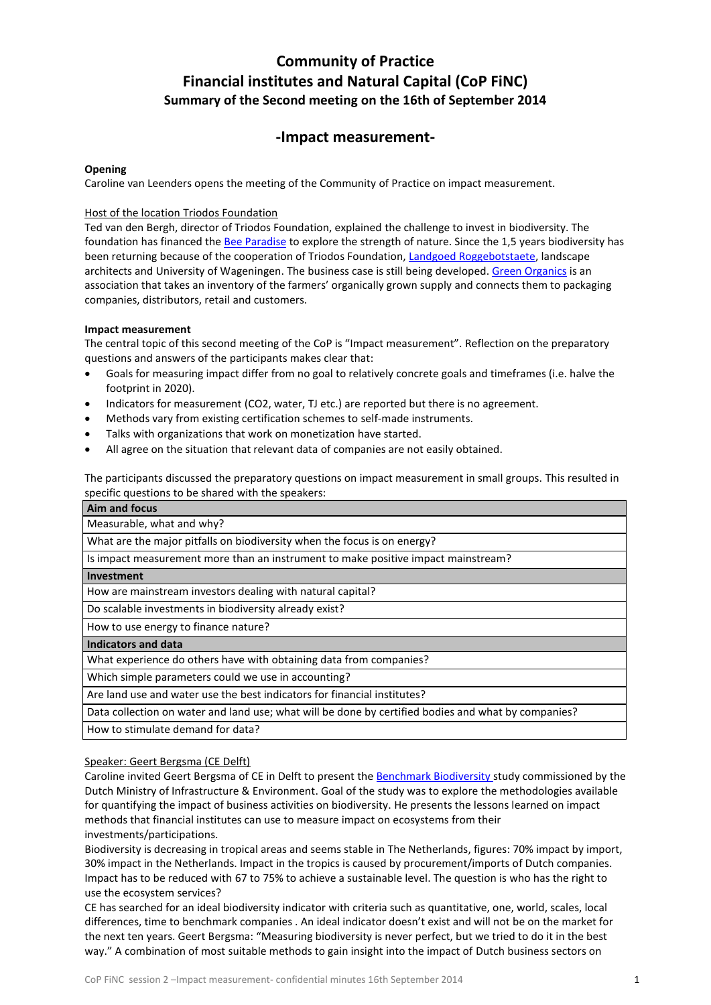# **Community of Practice Financial institutes and Natural Capital (CoP FiNC) Summary of the Second meeting on the 16th of September 2014**

## **-Impact measurement-**

#### **Opening**

Caroline van Leenders opens the meeting of the Community of Practice on impact measurement.

#### Host of the location Triodos Foundation

Ted van den Bergh, director of Triodos Foundation, explained the challenge to invest in biodiversity. The foundation has financed th[e Bee Paradise](http://www.triodosfoundation.nl/nl/over-triodos-foundation/uitgelicht/bijenparadijs/) to explore the strength of nature. Since the 1,5 years biodiversity has been returning because of the cooperation of Triodos Foundation[, Landgoed Roggebotstaete,](http://www.roggebotstaete.nl/) landscape architects and University of Wageningen. The business case is still being developed. [Green Organics](http://www.greenorganics.nl/) is an association that takes an inventory of the farmers' organically grown supply and connects them to packaging companies, distributors, retail and customers.

#### **Impact measurement**

The central topic of this second meeting of the CoP is "Impact measurement". Reflection on the preparatory questions and answers of the participants makes clear that:

- Goals for measuring impact differ from no goal to relatively concrete goals and timeframes (i.e. halve the footprint in 2020).
- Indicators for measurement (CO2, water, TJ etc.) are reported but there is no agreement.
- Methods vary from existing certification schemes to self-made instruments.
- Talks with organizations that work on monetization have started.
- All agree on the situation that relevant data of companies are not easily obtained.

The participants discussed the preparatory questions on impact measurement in small groups. This resulted in specific questions to be shared with the speakers:

| Aim and focus                                                                     |
|-----------------------------------------------------------------------------------|
| Measurable, what and why?                                                         |
| What are the major pitfalls on biodiversity when the focus is on energy?          |
| Is impact measurement more than an instrument to make positive impact mainstream? |
| Investment                                                                        |
| How are mainstream investors dealing with natural capital?                        |
| Do scalable investments in biodiversity already exist?                            |
| How to use energy to finance nature?                                              |
| <b>Indicators and data</b>                                                        |
| What experience do others have with obtaining data from companies?                |
| Which simple parameters could we use in accounting?                               |
| Are land use and water use the best indicators for financial institutes?          |

Data collection on water and land use; what will be done by certified bodies and what by companies?

How to stimulate demand for data?

#### Speaker: Geert Bergsma (CE Delft)

Caroline invited Geert Bergsma of CE in Delft to present the [Benchmark Biodiversity](http://www.ce.nl/publicatie/benchmark_biodiversiteit/1488) study commissioned by the Dutch Ministry of Infrastructure & Environment. Goal of the study was to explore the methodologies available for quantifying the impact of business activities on biodiversity. He presents the lessons learned on impact methods that financial institutes can use to measure impact on ecosystems from their investments/participations.

Biodiversity is decreasing in tropical areas and seems stable in The Netherlands, figures: 70% impact by import, 30% impact in the Netherlands. Impact in the tropics is caused by procurement/imports of Dutch companies. Impact has to be reduced with 67 to 75% to achieve a sustainable level. The question is who has the right to use the ecosystem services?

CE has searched for an ideal biodiversity indicator with criteria such as quantitative, one, world, scales, local differences, time to benchmark companies . An ideal indicator doesn't exist and will not be on the market for the next ten years. Geert Bergsma: "Measuring biodiversity is never perfect, but we tried to do it in the best way." A combination of most suitable methods to gain insight into the impact of Dutch business sectors on